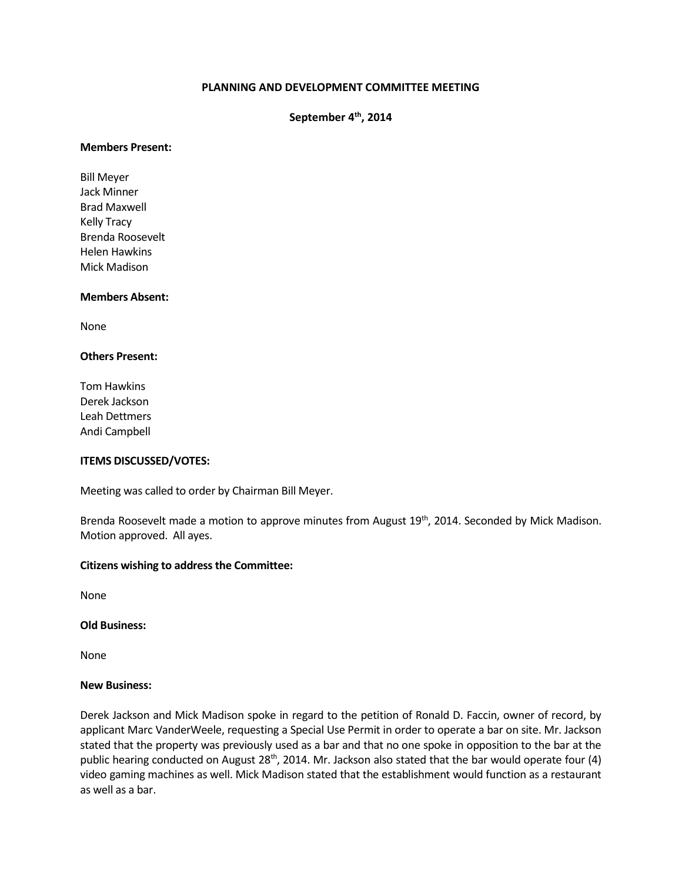# **PLANNING AND DEVELOPMENT COMMITTEE MEETING**

# **September 4th, 2014**

### **Members Present:**

Bill Meyer Jack Minner Brad Maxwell Kelly Tracy Brenda Roosevelt Helen Hawkins Mick Madison

### **Members Absent:**

None

# **Others Present:**

Tom Hawkins Derek Jackson Leah Dettmers Andi Campbell

### **ITEMS DISCUSSED/VOTES:**

Meeting was called to order by Chairman Bill Meyer.

Brenda Roosevelt made a motion to approve minutes from August 19<sup>th</sup>, 2014. Seconded by Mick Madison. Motion approved. All ayes.

#### **Citizens wishing to address the Committee:**

None

**Old Business:**

None

### **New Business:**

Derek Jackson and Mick Madison spoke in regard to the petition of Ronald D. Faccin, owner of record, by applicant Marc VanderWeele, requesting a Special Use Permit in order to operate a bar on site. Mr. Jackson stated that the property was previously used as a bar and that no one spoke in opposition to the bar at the public hearing conducted on August  $28<sup>th</sup>$ , 2014. Mr. Jackson also stated that the bar would operate four (4) video gaming machines as well. Mick Madison stated that the establishment would function as a restaurant as well as a bar.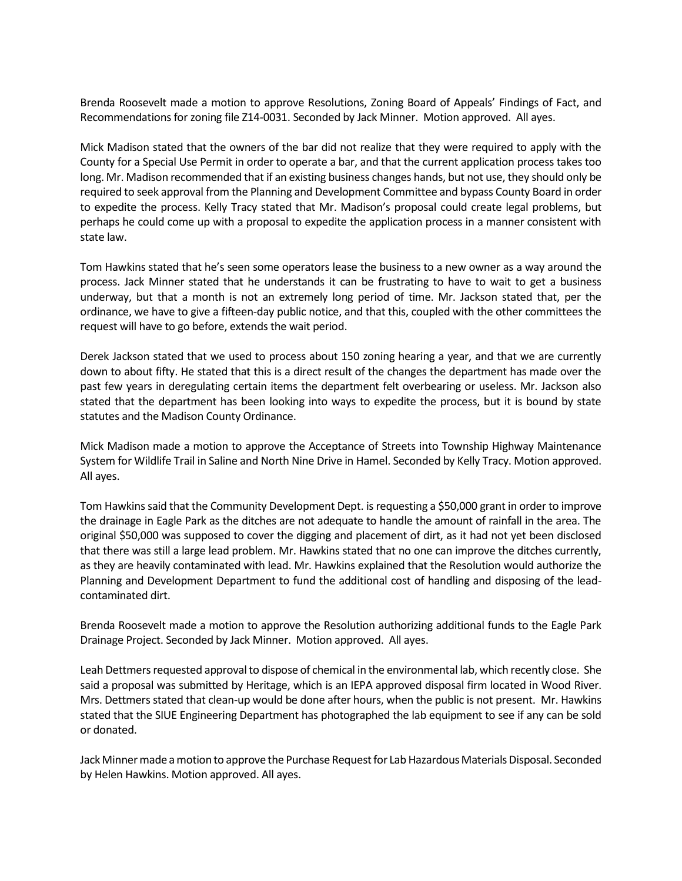Brenda Roosevelt made a motion to approve Resolutions, Zoning Board of Appeals' Findings of Fact, and Recommendations for zoning file Z14-0031. Seconded by Jack Minner. Motion approved. All ayes.

Mick Madison stated that the owners of the bar did not realize that they were required to apply with the County for a Special Use Permit in order to operate a bar, and that the current application process takes too long. Mr. Madison recommended that if an existing business changes hands, but not use, they should only be required to seek approval from the Planning and Development Committee and bypass County Board in order to expedite the process. Kelly Tracy stated that Mr. Madison's proposal could create legal problems, but perhaps he could come up with a proposal to expedite the application process in a manner consistent with state law.

Tom Hawkins stated that he's seen some operators lease the business to a new owner as a way around the process. Jack Minner stated that he understands it can be frustrating to have to wait to get a business underway, but that a month is not an extremely long period of time. Mr. Jackson stated that, per the ordinance, we have to give a fifteen-day public notice, and that this, coupled with the other committees the request will have to go before, extends the wait period.

Derek Jackson stated that we used to process about 150 zoning hearing a year, and that we are currently down to about fifty. He stated that this is a direct result of the changes the department has made over the past few years in deregulating certain items the department felt overbearing or useless. Mr. Jackson also stated that the department has been looking into ways to expedite the process, but it is bound by state statutes and the Madison County Ordinance.

Mick Madison made a motion to approve the Acceptance of Streets into Township Highway Maintenance System for Wildlife Trail in Saline and North Nine Drive in Hamel. Seconded by Kelly Tracy. Motion approved. All ayes.

Tom Hawkins said that the Community Development Dept. is requesting a \$50,000 grant in order to improve the drainage in Eagle Park as the ditches are not adequate to handle the amount of rainfall in the area. The original \$50,000 was supposed to cover the digging and placement of dirt, as it had not yet been disclosed that there was still a large lead problem. Mr. Hawkins stated that no one can improve the ditches currently, as they are heavily contaminated with lead. Mr. Hawkins explained that the Resolution would authorize the Planning and Development Department to fund the additional cost of handling and disposing of the leadcontaminated dirt.

Brenda Roosevelt made a motion to approve the Resolution authorizing additional funds to the Eagle Park Drainage Project. Seconded by Jack Minner. Motion approved. All ayes.

Leah Dettmers requested approval to dispose of chemical in the environmental lab, which recently close. She said a proposal was submitted by Heritage, which is an IEPA approved disposal firm located in Wood River. Mrs. Dettmers stated that clean-up would be done after hours, when the public is not present. Mr. Hawkins stated that the SIUE Engineering Department has photographed the lab equipment to see if any can be sold or donated.

Jack Minner made a motion to approve the Purchase Request for Lab Hazardous Materials Disposal. Seconded by Helen Hawkins. Motion approved. All ayes.